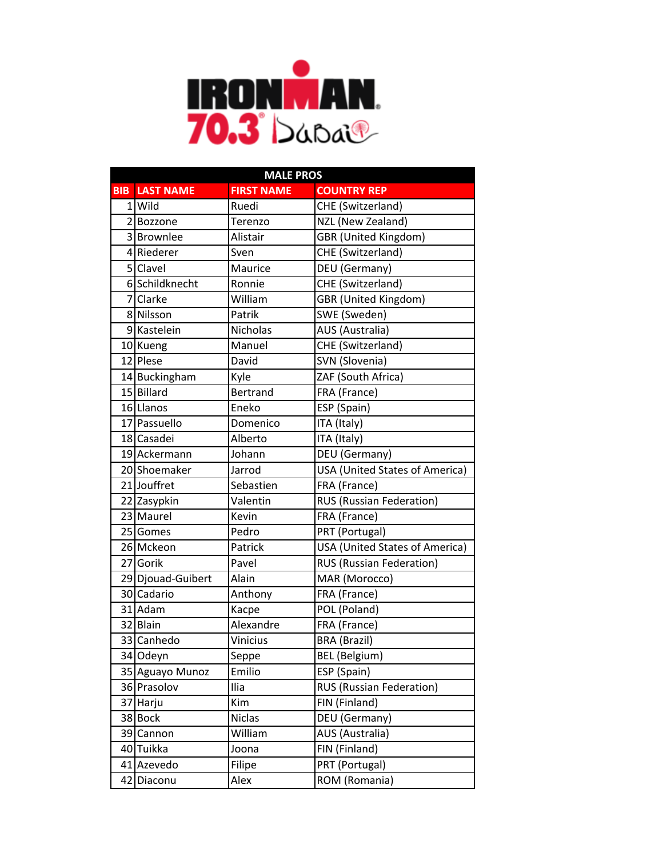

|            | <b>MALE PROS</b>  |                   |                                       |  |
|------------|-------------------|-------------------|---------------------------------------|--|
| <b>BIB</b> | <b>LAST NAME</b>  | <b>FIRST NAME</b> | <b>COUNTRY REP</b>                    |  |
|            | 1 Wild            | Ruedi             | CHE (Switzerland)                     |  |
|            | 2Bozzone          | Terenzo           | NZL (New Zealand)                     |  |
|            | 3 Brownlee        | Alistair          | <b>GBR</b> (United Kingdom)           |  |
|            | 4 Riederer        | Sven              | CHE (Switzerland)                     |  |
|            | 5 Clavel          | Maurice           | DEU (Germany)                         |  |
|            | 6 Schildknecht    | Ronnie            | CHE (Switzerland)                     |  |
|            | 7 Clarke          | William           | <b>GBR</b> (United Kingdom)           |  |
|            | 8 Nilsson         | Patrik            | SWE (Sweden)                          |  |
|            | 9 Kastelein       | Nicholas          | AUS (Australia)                       |  |
|            | 10 Kueng          | Manuel            | CHE (Switzerland)                     |  |
|            | 12 Plese          | David             | SVN (Slovenia)                        |  |
|            | 14 Buckingham     | Kyle              | ZAF (South Africa)                    |  |
|            | 15 Billard        | <b>Bertrand</b>   | FRA (France)                          |  |
|            | 16 Llanos         | Eneko             | ESP (Spain)                           |  |
|            | 17 Passuello      | Domenico          | ITA (Italy)                           |  |
|            | 18 Casadei        | Alberto           | ITA (Italy)                           |  |
|            | 19 Ackermann      | Johann            | DEU (Germany)                         |  |
|            | 20 Shoemaker      | Jarrod            | <b>USA (United States of America)</b> |  |
|            | 21 Jouffret       | Sebastien         | FRA (France)                          |  |
|            | 22 Zasypkin       | Valentin          | <b>RUS (Russian Federation)</b>       |  |
|            | 23 Maurel         | Kevin             | FRA (France)                          |  |
|            | 25 Gomes          | Pedro             | PRT (Portugal)                        |  |
|            | 26 Mckeon         | Patrick           | <b>USA (United States of America)</b> |  |
|            | 27 Gorik          | Pavel             | <b>RUS (Russian Federation)</b>       |  |
|            | 29 Djouad-Guibert | Alain             | MAR (Morocco)                         |  |
|            | 30 Cadario        | Anthony           | FRA (France)                          |  |
|            | 31 Adam           | Kacpe             | POL (Poland)                          |  |
|            | 32 Blain          | Alexandre         | FRA (France)                          |  |
|            | 33 Canhedo        | <b>Vinicius</b>   | <b>BRA (Brazil)</b>                   |  |
|            | 34 Odeyn          | Seppe             | <b>BEL</b> (Belgium)                  |  |
|            | 35 Aguayo Munoz   | Emilio            | ESP (Spain)                           |  |
|            | 36 Prasolov       | Ilia              | <b>RUS (Russian Federation)</b>       |  |
|            | 37 Harju          | Kim               | FIN (Finland)                         |  |
|            | 38 Bock           | <b>Niclas</b>     | DEU (Germany)                         |  |
|            | 39 Cannon         | William           | AUS (Australia)                       |  |
|            | 40 Tuikka         | Joona             | FIN (Finland)                         |  |
|            | 41 Azevedo        | Filipe            | PRT (Portugal)                        |  |
|            | 42 Diaconu        | Alex              | ROM (Romania)                         |  |